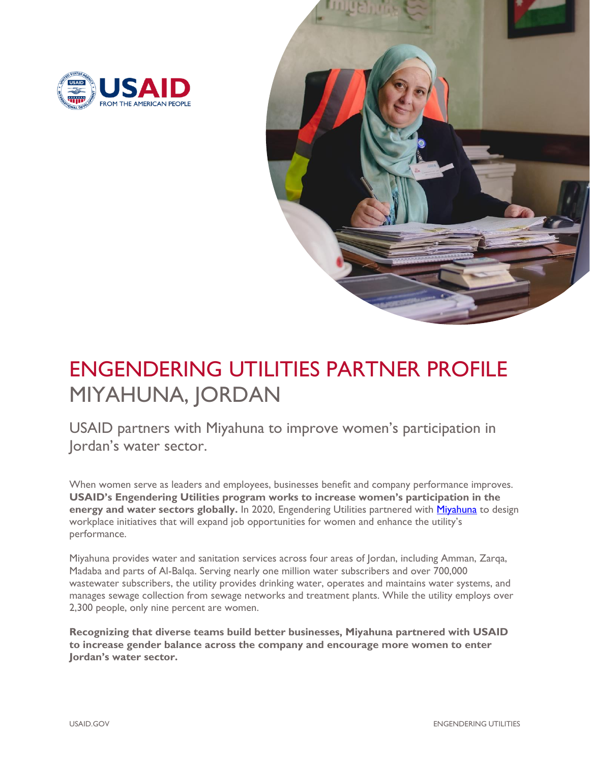



# ENGENDERING UTILITIES PARTNER PROFILE MIYAHUNA, JORDAN

USAID partners with Miyahuna to improve women's participation in Jordan's water sector.

When women serve as leaders and employees, businesses benefit and company performance improves. **USAID's Engendering Utilities program works to increase women's participation in the energy and water sectors globally.** In 2020, Engendering Utilities partnered with [Miyahuna](http://miyahunaportal.arabiacell.biz/en/page/Our-Work-29) to design workplace initiatives that will expand job opportunities for women and enhance the utility's performance.

Miyahuna provides water and sanitation services across four areas of Jordan, including Amman, Zarqa, Madaba and parts of Al-Balqa. Serving nearly one million water subscribers and over 700,000 wastewater subscribers, the utility provides drinking water, operates and maintains water systems, and manages sewage collection from sewage networks and treatment plants. While the utility employs over 2,300 people, only nine percent are women.

**Recognizing that diverse teams build better businesses, Miyahuna partnered with USAID to increase gender balance across the company and encourage more women to enter Jordan's water sector.**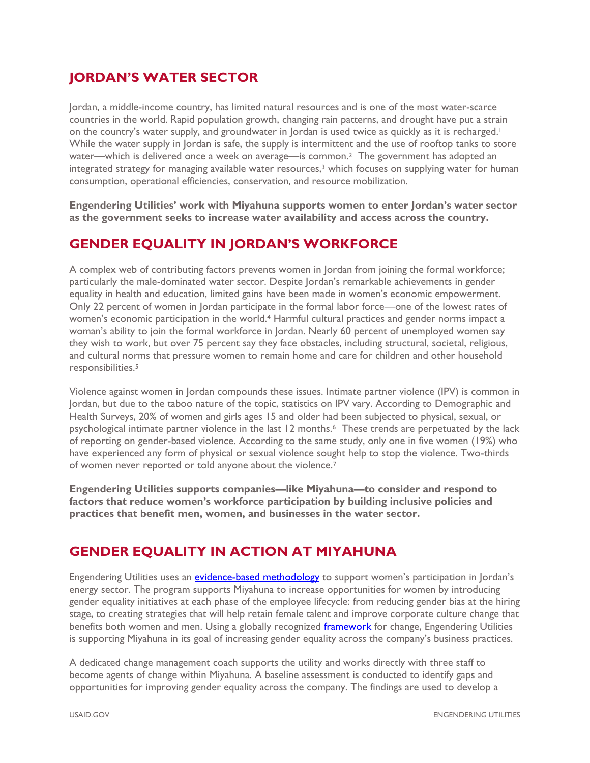## **JORDAN'S WATER SECTOR**

Jordan, a middle-income country, has limited natural resources and is one of the most water-scarce countries in the world. Rapid population growth, changing rain patterns, and drought have put a strain on the country's water supply, and groundwater in Jordan is used twice as quickly as it is recharged.<sup>1</sup> While the water supply in Jordan is safe, the supply is intermittent and the use of rooftop tanks to store water—which is delivered once a week on average—is common.<sup>2</sup> The government has adopted an integrated strategy for managing available water resources, $3$  which focuses on supplying water for human consumption, operational efficiencies, conservation, and resource mobilization.

**Engendering Utilities' work with Miyahuna supports women to enter Jordan's water sector as the government seeks to increase water availability and access across the country.** 

#### **GENDER EQUALITY IN JORDAN'S WORKFORCE**

A complex web of contributing factors prevents women in Jordan from joining the formal workforce; particularly the male-dominated water sector. Despite Jordan's remarkable achievements in gender equality in health and education, limited gains have been made in women's economic empowerment. Only 22 percent of women in Jordan participate in the formal labor force—one of the lowest rates of women's economic participation in the world.<sup>4</sup> Harmful cultural practices and gender norms impact a woman's ability to join the formal workforce in Jordan. Nearly 60 percent of unemployed women say they wish to work, but over 75 percent say they face obstacles, including structural, societal, religious, and cultural norms that pressure women to remain home and care for children and other household responsibilities.<sup>5</sup>

Violence against women in Jordan compounds these issues. Intimate partner violence (IPV) is common in Jordan, but due to the taboo nature of the topic, statistics on IPV vary. According to Demographic and Health Surveys, 20% of women and girls ages 15 and older had been subjected to physical, sexual, or psychological intimate partner violence in the last 12 months.<sup>6</sup> These trends are perpetuated by the lack of reporting on gender-based violence. According to the same study, only one in five women (19%) who have experienced any form of physical or sexual violence sought help to stop the violence. Two-thirds of women never reported or told anyone about the violence.<sup>7</sup>

**Engendering Utilities supports companies—like Miyahuna—to consider and respond to factors that reduce women's workforce participation by building inclusive policies and practices that benefit men, women, and businesses in the water sector.** 

### **GENDER EQUALITY IN ACTION AT MIYAHUNA**

Engendering Utilities uses an [evidence-based methodology](https://www.usaid.gov/energy/engendering-utilities/gender-equality-best-practices-framework) to support women's participation in Jordan's energy sector. The program supports Miyahuna to increase opportunities for women by introducing gender equality initiatives at each phase of the employee lifecycle: from reducing gender bias at the hiring stage, to creating strategies that will help retain female talent and improve corporate culture change that benefits both women and men. Using a globally recognized [framework](https://www.usaid.gov/energy/engendering-utilities/gender-equality-best-practices-framework) for change, Engendering Utilities is supporting Miyahuna in its goal of increasing gender equality across the company's business practices.

A dedicated change management coach supports the utility and works directly with three staff to become agents of change within Miyahuna. A baseline assessment is conducted to identify gaps and opportunities for improving gender equality across the company. The findings are used to develop a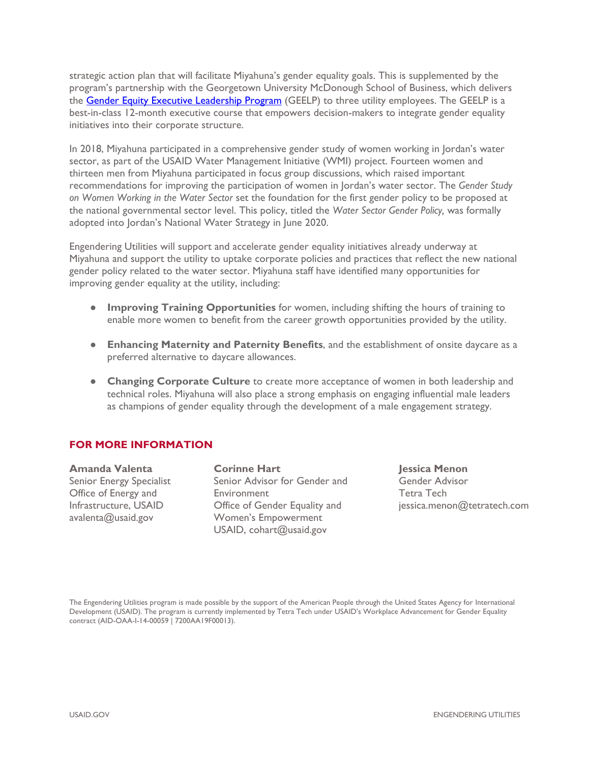strategic action plan that will facilitate Miyahuna's gender equality goals. This is supplemented by the program's partnership with the Georgetown University McDonough School of Business, which delivers the **Gender Equity Executive Leadership Program** (GEELP) to three utility employees. The GEELP is a best-in-class 12-month executive course that empowers decision-makers to integrate gender equality initiatives into their corporate structure.

In 2018, Miyahuna participated in a comprehensive gender study of women working in Jordan's water sector, as part of the USAID Water Management Initiative (WMI) project. Fourteen women and thirteen men from Miyahuna participated in focus group discussions, which raised important recommendations for improving the participation of women in Jordan's water sector. The *Gender Study on Women Working in the Water Sector* set the foundation for the first gender policy to be proposed at the national governmental sector level. This policy, titled the *Water Sector Gender Policy,* was formally adopted into Jordan's National Water Strategy in June 2020.

Engendering Utilities will support and accelerate gender equality initiatives already underway at Miyahuna and support the utility to uptake corporate policies and practices that reflect the new national gender policy related to the water sector. Miyahuna staff have identified many opportunities for improving gender equality at the utility, including:

- **Improving Training Opportunities** for women, including shifting the hours of training to enable more women to benefit from the career growth opportunities provided by the utility.
- **Enhancing Maternity and Paternity Benefits**, and the establishment of onsite daycare as a preferred alternative to daycare allowances.
- **Changing Corporate Culture** to create more acceptance of women in both leadership and technical roles. Miyahuna will also place a strong emphasis on engaging influential male leaders as champions of gender equality through the development of a male engagement strategy.

#### **FOR MORE INFORMATION**

**Amanda Valenta** Senior Energy Specialist Office of Energy and Infrastructure, USAID [avalenta@usaid.gov](mailto:avalenta@usaid.gov)

**Corinne Hart** Senior Advisor for Gender and **Environment** Office of Gender Equality and Women's Empowerment USAID, [cohart@usaid.gov](mailto:cohart@usaid.gov)

**Jessica Menon** Gender Advisor Tetra Tech jessica.menon@tetratech.com

The Engendering Utilities program is made possible by the support of the American People through the United States Agency for International Development (USAID). The program is currently implemented by Tetra Tech under USAID's Workplace Advancement for Gender Equality contract (AID-OAA-I-14-00059 | 7200AA19F00013).